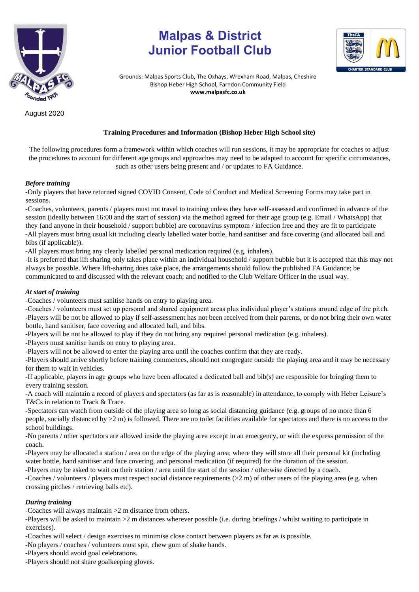

**Malpas & District Junior Football Club** 



Grounds: Malpas Sports Club, The Oxhays, Wrexham Road, Malpas, Cheshire Bishop Heber High School, Farndon Community Field **www.malpasfc.co.uk** 

August 2020

## **Training Procedures and Information (Bishop Heber High School site)**

The following procedures form a framework within which coaches will run sessions, it may be appropriate for coaches to adjust the procedures to account for different age groups and approaches may need to be adapted to account for specific circumstances, such as other users being present and / or updates to FA Guidance.

#### *Before training*

-Only players that have returned signed COVID Consent, Code of Conduct and Medical Screening Forms may take part in sessions.

-Coaches, volunteers, parents / players must not travel to training unless they have self-assessed and confirmed in advance of the session (ideally between 16:00 and the start of session) via the method agreed for their age group (e.g. Email / WhatsApp) that they (and anyone in their household / support bubble) are coronavirus symptom / infection free and they are fit to participate -All players must bring usual kit including clearly labelled water bottle, hand sanitiser and face covering (and allocated ball and bibs (if applicable)).

-All players must bring any clearly labelled personal medication required (e.g. inhalers).

-It is preferred that lift sharing only takes place within an individual household / support bubble but it is accepted that this may not always be possible. Where lift-sharing does take place, the arrangements should follow the published FA Guidance; be communicated to and discussed with the relevant coach; and notified to the Club Welfare Officer in the usual way.

#### *At start of training*

-Coaches / volunteers must sanitise hands on entry to playing area.

-Coaches / volunteers must set up personal and shared equipment areas plus individual player's stations around edge of the pitch. -Players will be not be allowed to play if self-assessment has not been received from their parents, or do not bring their own water bottle, hand sanitiser, face covering and allocated ball, and bibs.

-Players will be not be allowed to play if they do not bring any required personal medication (e.g. inhalers).

-Players must sanitise hands on entry to playing area.

-Players will not be allowed to enter the playing area until the coaches confirm that they are ready.

-Players should arrive shortly before training commences, should not congregate outside the playing area and it may be necessary for them to wait in vehicles.

-If applicable, players in age groups who have been allocated a dedicated ball and bib(s) are responsible for bringing them to every training session.

-A coach will maintain a record of players and spectators (as far as is reasonable) in attendance, to comply with Heber Leisure's T&Cs in relation to Track & Trace.

-Spectators can watch from outside of the playing area so long as social distancing guidance (e.g. groups of no more than 6 people, socially distanced by >2 m) is followed. There are no toilet facilities available for spectators and there is no access to the school buildings.

-No parents / other spectators are allowed inside the playing area except in an emergency, or with the express permission of the coach.

-Players may be allocated a station / area on the edge of the playing area; where they will store all their personal kit (including water bottle, hand sanitiser and face covering, and personal medication (if required) for the duration of the session.

-Players may be asked to wait on their station / area until the start of the session / otherwise directed by a coach.

-Coaches / volunteers / players must respect social distance requirements (>2 m) of other users of the playing area (e.g. when crossing pitches / retrieving balls etc).

# *During training*

-Coaches will always maintain >2 m distance from others.

-Players will be asked to maintain >2 m distances wherever possible (i.e. during briefings / whilst waiting to participate in exercises).

-Coaches will select / design exercises to minimise close contact between players as far as is possible.

-No players / coaches / volunteers must spit, chew gum of shake hands.

-Players should avoid goal celebrations.

-Players should not share goalkeeping gloves.